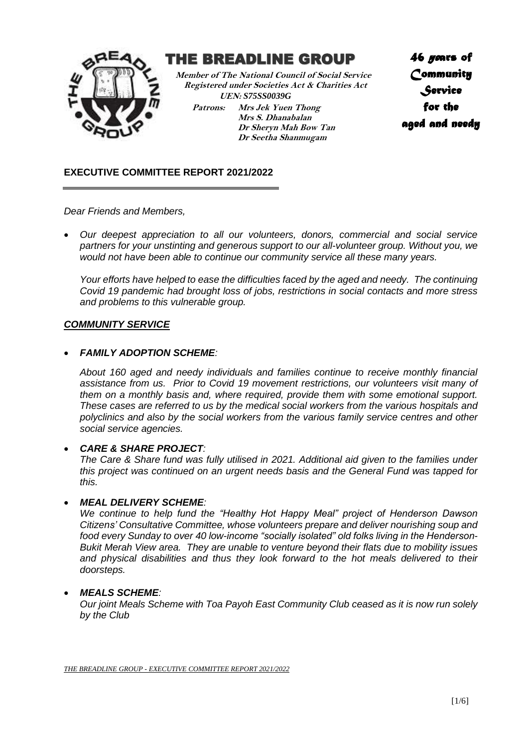

# THE BREADLINE GROUP

 **Member of The National Council of Social Service Registered under Societies Act & Charities Act UEN:** *S75SS0039G*

**Patrons: Mrs Jek Yuen Thong Mrs S. Dhanabalan Dr Sheryn Mah Bow Tan Dr Seetha Shanmugam**

*46 years of Community Service for the aged and needy* 

# **EXECUTIVE COMMITTEE REPORT 2021/2022**

*Dear Friends and Members,*

• *Our deepest appreciation to all our volunteers, donors, commercial and social service partners for your unstinting and generous support to our all-volunteer group. Without you, we would not have been able to continue our community service all these many years.* 

*Your efforts have helped to ease the difficulties faced by the aged and needy. The continuing Covid 19 pandemic had brought loss of jobs, restrictions in social contacts and more stress and problems to this vulnerable group.*

### *COMMUNITY SERVICE*

### • *FAMILY ADOPTION SCHEME:*

*About 160 aged and needy individuals and families continue to receive monthly financial assistance from us. Prior to Covid 19 movement restrictions, our volunteers visit many of them on a monthly basis and, where required, provide them with some emotional support. These cases are referred to us by the medical social workers from the various hospitals and polyclinics and also by the social workers from the various family service centres and other social service agencies.*

### • *CARE & SHARE PROJECT:*

*The Care & Share fund was fully utilised in 2021. Additional aid given to the families under this project was continued on an urgent needs basis and the General Fund was tapped for this.*

### • *MEAL DELIVERY SCHEME:*

*We continue to help fund the "Healthy Hot Happy Meal" project of Henderson Dawson Citizens' Consultative Committee, whose volunteers prepare and deliver nourishing soup and food every Sunday to over 40 low-income "socially isolated" old folks living in the Henderson-Bukit Merah View area. They are unable to venture beyond their flats due to mobility issues and physical disabilities and thus they look forward to the hot meals delivered to their doorsteps.*

#### • *MEALS SCHEME:*

*Our joint Meals Scheme with Toa Payoh East Community Club ceased as it is now run solely by the Club*

*THE BREADLINE GROUP - EXECUTIVE COMMITTEE REPORT 2021/2022*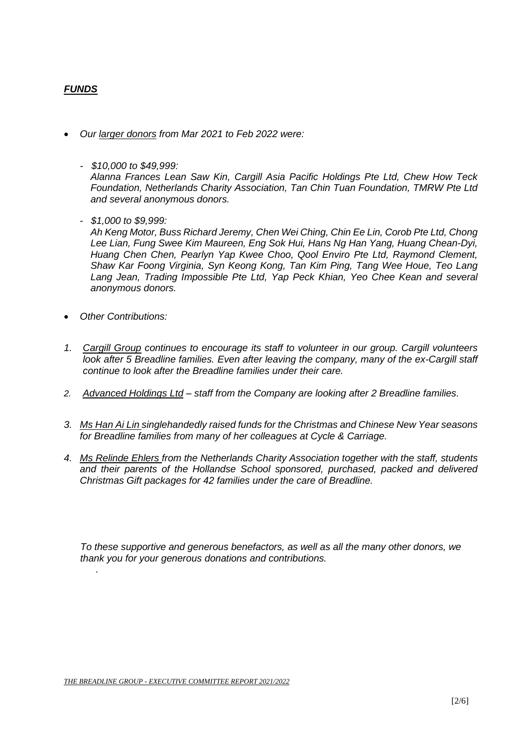# *FUNDS*

- *Our larger donors from Mar 2021 to Feb 2022 were:* 
	- *\$10,000 to \$49,999:*

*Alanna Frances Lean Saw Kin, Cargill Asia Pacific Holdings Pte Ltd, Chew How Teck Foundation, Netherlands Charity Association, Tan Chin Tuan Foundation, TMRW Pte Ltd and several anonymous donors.*

 *- \$1,000 to \$9,999:*

*Ah Keng Motor, Buss Richard Jeremy, Chen Wei Ching, Chin Ee Lin, Corob Pte Ltd, Chong Lee Lian, Fung Swee Kim Maureen, Eng Sok Hui, Hans Ng Han Yang, Huang Chean-Dyi, Huang Chen Chen, Pearlyn Yap Kwee Choo, Qool Enviro Pte Ltd, Raymond Clement, Shaw Kar Foong Virginia, Syn Keong Kong, Tan Kim Ping, Tang Wee Houe, Teo Lang Lang Jean, Trading Impossible Pte Ltd, Yap Peck Khian, Yeo Chee Kean and several anonymous donors.* 

• *Other Contributions:*

*.*

- *1. Cargill Group continues to encourage its staff to volunteer in our group. Cargill volunteers look after 5 Breadline families. Even after leaving the company, many of the ex-Cargill staff continue to look after the Breadline families under their care.*
- *2. Advanced Holdings Ltd – staff from the Company are looking after 2 Breadline families.*
- *3. Ms Han Ai Lin singlehandedly raised funds for the Christmas and Chinese New Year seasons for Breadline families from many of her colleagues at Cycle & Carriage.*
- *4. Ms Relinde Ehlers from the Netherlands Charity Association together with the staff, students and their parents of the Hollandse School sponsored, purchased, packed and delivered Christmas Gift packages for 42 families under the care of Breadline.*

 *To these supportive and generous benefactors, as well as all the many other donors, we thank you for your generous donations and contributions.*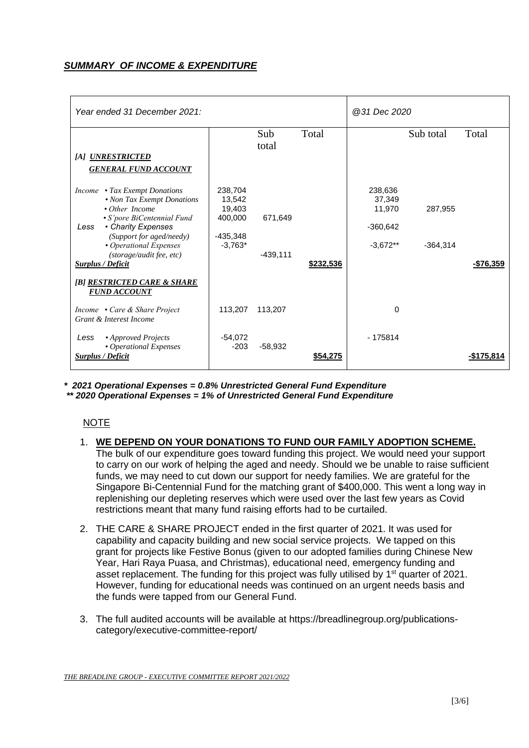# *SUMMARY OF INCOME & EXPENDITURE*

| Year ended 31 December 2021:                                                                                                                                                                                                                                  |                                                                   |                       |           | @31 Dec 2020                                            |                       |            |
|---------------------------------------------------------------------------------------------------------------------------------------------------------------------------------------------------------------------------------------------------------------|-------------------------------------------------------------------|-----------------------|-----------|---------------------------------------------------------|-----------------------|------------|
| [A] UNRESTRICTED<br><b>GENERAL FUND ACCOUNT</b>                                                                                                                                                                                                               |                                                                   | Sub<br>total          | Total     |                                                         | Sub total             | Total      |
| Income • Tax Exempt Donations<br>• Non Tax Exempt Donations<br>$\cdot$ Other Income<br>• S'pore BiCentennial Fund<br>• Charity Expenses<br>Less<br>(Support for aged/needy)<br>• Operational Expenses<br>(storage/audit fee, etc)<br><b>Surplus / Deficit</b> | 238,704<br>13,542<br>19,403<br>400,000<br>$-435,348$<br>$-3,763*$ | 671,649<br>$-439,111$ | \$232,536 | 238,636<br>37,349<br>11,970<br>$-360,642$<br>$-3.672**$ | 287,955<br>$-364,314$ | -\$76,359  |
| [B] RESTRICTED CARE & SHARE<br><b>FUND ACCOUNT</b><br>Income • Care & Share Project<br>Grant & Interest Income                                                                                                                                                | 113,207                                                           | 113,207               |           | 0                                                       |                       |            |
| • Approved Projects<br>Less<br>• Operational Expenses<br>Surplus / Deficit                                                                                                                                                                                    | $-54,072$<br>$-203$                                               | $-58,932$             | \$54,275  | $-175814$                                               |                       | -\$175.814 |

*\* 2021 Operational Expenses = 0.8% Unrestricted General Fund Expenditure \*\* 2020 Operational Expenses = 1% of Unrestricted General Fund Expenditure*

# NOTE

#### 1. **WE DEPEND ON YOUR DONATIONS TO FUND OUR FAMILY ADOPTION SCHEME.** The bulk of our expenditure goes toward funding this project. We would need your support to carry on our work of helping the aged and needy. Should we be unable to raise sufficient funds, we may need to cut down our support for needy families. We are grateful for the Singapore Bi-Centennial Fund for the matching grant of \$400,000. This went a long way in replenishing our depleting reserves which were used over the last few years as Covid restrictions meant that many fund raising efforts had to be curtailed.

- 2. THE CARE & SHARE PROJECT ended in the first quarter of 2021. It was used for capability and capacity building and new social service projects. We tapped on this grant for projects like Festive Bonus (given to our adopted families during Chinese New Year, Hari Raya Puasa, and Christmas), educational need, emergency funding and asset replacement. The funding for this project was fully utilised by 1<sup>st</sup> quarter of 2021. However, funding for educational needs was continued on an urgent needs basis and the funds were tapped from our General Fund.
- 3. The full audited accounts will be available at https://breadlinegroup.org/publicationscategory/executive-committee-report/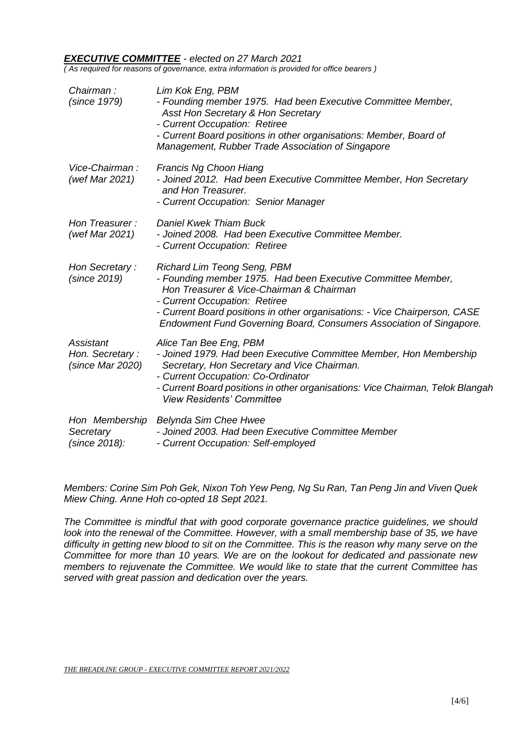#### *EXECUTIVE COMMITTEE - elected on 27 March 2021*

*( As required for reasons of governance, extra information is provided for office bearers )*

| Chairman:<br>(since 1979)                        | Lim Kok Eng, PBM<br>- Founding member 1975. Had been Executive Committee Member,<br>Asst Hon Secretary & Hon Secretary<br>- Current Occupation: Retiree<br>- Current Board positions in other organisations: Member, Board of<br>Management, Rubber Trade Association of Singapore                                                   |
|--------------------------------------------------|--------------------------------------------------------------------------------------------------------------------------------------------------------------------------------------------------------------------------------------------------------------------------------------------------------------------------------------|
| Vice-Chairman:<br>(wef Mar 2021)                 | Francis Ng Choon Hiang<br>- Joined 2012. Had been Executive Committee Member, Hon Secretary<br>and Hon Treasurer.<br>- Current Occupation: Senior Manager                                                                                                                                                                            |
| Hon Treasurer:<br>(wef Mar 2021)                 | <b>Daniel Kwek Thiam Buck</b><br>- Joined 2008. Had been Executive Committee Member.<br>- Current Occupation: Retiree                                                                                                                                                                                                                |
| Hon Secretary:<br>(since 2019)                   | <b>Richard Lim Teong Seng, PBM</b><br>- Founding member 1975. Had been Executive Committee Member,<br>Hon Treasurer & Vice-Chairman & Chairman<br>- Current Occupation: Retiree<br>- Current Board positions in other organisations: - Vice Chairperson, CASE<br>Endowment Fund Governing Board, Consumers Association of Singapore. |
| Assistant<br>Hon. Secretary:<br>(since Mar 2020) | Alice Tan Bee Eng, PBM<br>- Joined 1979. Had been Executive Committee Member, Hon Membership<br>Secretary, Hon Secretary and Vice Chairman.<br>- Current Occupation: Co-Ordinator<br>- Current Board positions in other organisations: Vice Chairman, Telok Blangah<br><b>View Residents' Committee</b>                              |
| Hon Membership<br>Secretary<br>(since 2018):     | Belynda Sim Chee Hwee<br>- Joined 2003. Had been Executive Committee Member<br>- Current Occupation: Self-employed                                                                                                                                                                                                                   |

*Members: Corine Sim Poh Gek, Nixon Toh Yew Peng, Ng Su Ran, Tan Peng Jin and Viven Quek Miew Ching. Anne Hoh co-opted 18 Sept 2021.*

*The Committee is mindful that with good corporate governance practice guidelines, we should look into the renewal of the Committee. However, with a small membership base of 35, we have difficulty in getting new blood to sit on the Committee. This is the reason why many serve on the Committee for more than 10 years. We are on the lookout for dedicated and passionate new members to rejuvenate the Committee. We would like to state that the current Committee has served with great passion and dedication over the years.*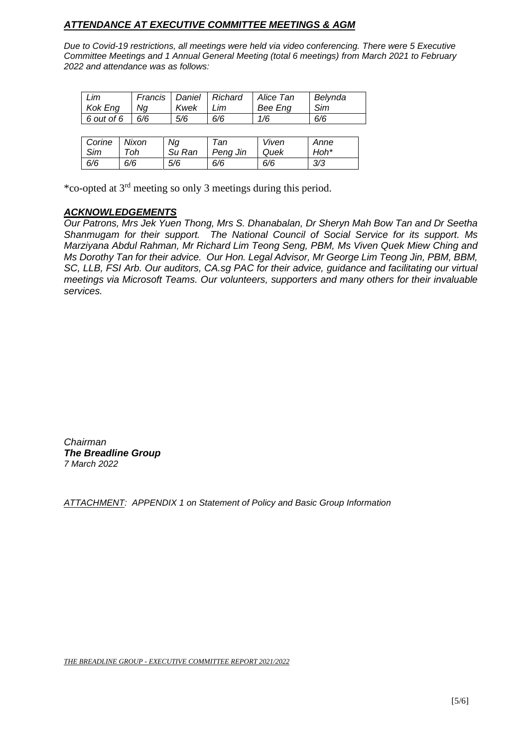# *ATTENDANCE AT EXECUTIVE COMMITTEE MEETINGS & AGM*

*Due to Covid-19 restrictions, all meetings were held via video conferencing. There were 5 Executive Committee Meetings and 1 Annual General Meeting (total 6 meetings) from March 2021 to February 2022 and attendance was as follows:*

| Lim<br>Kok Eng   | Na | Kwek | Francis   Daniel   Richard<br>- Lim | Alice Tan<br>Bee Eng | Belynda<br>Sim |
|------------------|----|------|-------------------------------------|----------------------|----------------|
| $6$ out of 6 6/6 |    | 5/6  | 6/6                                 | 1/6                  | 6/6            |
|                  |    |      |                                     |                      |                |

| Corine | Nixon | Ng     | Tan      | Viven | Anne |
|--------|-------|--------|----------|-------|------|
| Sim    | Toh   | Su Ran | Peng Jin | Quek  | Hoh* |
| 6/6    | 6/6   | 5/6    | 6/6      | 6/6   | 3/3  |

\*co-opted at 3rd meeting so only 3 meetings during this period.

### *ACKNOWLEDGEMENTS*

*Our Patrons, Mrs Jek Yuen Thong, Mrs S. Dhanabalan, Dr Sheryn Mah Bow Tan and Dr Seetha Shanmugam for their support. The National Council of Social Service for its support. Ms Marziyana Abdul Rahman, Mr Richard Lim Teong Seng, PBM, Ms Viven Quek Miew Ching and Ms Dorothy Tan for their advice. Our Hon. Legal Advisor, Mr George Lim Teong Jin, PBM, BBM, SC, LLB, FSI Arb. Our auditors, CA.sg PAC for their advice, guidance and facilitating our virtual meetings via Microsoft Teams. Our volunteers, supporters and many others for their invaluable services.*

*Chairman The Breadline Group 7 March 2022*

*ATTACHMENT: APPENDIX 1 on Statement of Policy and Basic Group Information*

*THE BREADLINE GROUP - EXECUTIVE COMMITTEE REPORT 2021/2022*